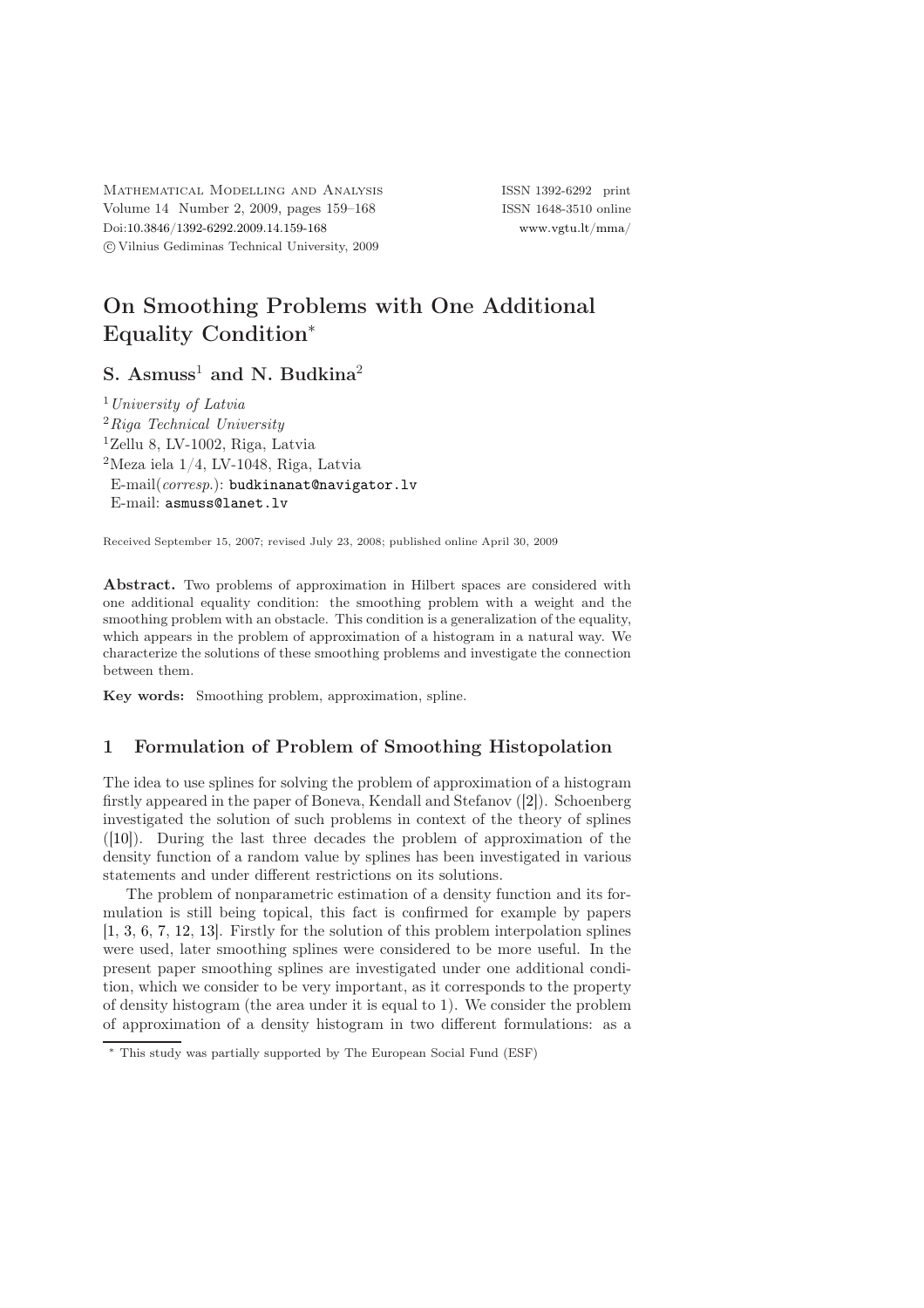Mathematical Modelling and Analysis ISSN 1392-6292 print Volume 14 Number 2, 2009, pages 159–168 ISSN 1648-3510 online Doi[:10.3846/1392-6292.2009.14.159-168](http://dx.doi.org/10.3846/1392-6292.2009.14.159-168) [www.vgtu.lt/mma/](http://www.vgtu.lt/mma/) c Vilnius Gediminas Technical University, 2009

# On Smoothing Problems with One Additional Equality Condition<sup>∗</sup>

S. Asmuss<sup>1</sup> and N. Budkina<sup>2</sup>

 $<sup>1</sup> University of Latvia$ </sup>  ${}^{2}$ Riga Technical University  $1$ Zellu 8, LV-1002, Riga, Latvia  $2$ Meza iela  $1/4$ , LV-1048, Riga, Latvia E-mail(corresp.): [budkinanat@navigator.lv](mailto:budkinanat@navigator.lv) E-mail: [asmuss@lanet.lv](mailto:asmuss@lanet.lv)

Received September 15, 2007; revised July 23, 2008; published online April 30, 2009

Abstract. Two problems of approximation in Hilbert spaces are considered with one additional equality condition: the smoothing problem with a weight and the smoothing problem with an obstacle. This condition is a generalization of the equality, which appears in the problem of approximation of a histogram in a natural way. We characterize the solutions of these smoothing problems and investigate the connection between them.

Key words: Smoothing problem, approximation, spline.

### 1 Formulation of Problem of Smoothing Histopolation

The idea to use splines for solving the problem of approximation of a histogram firstly appeared in the paper of Boneva, Kendall and Stefanov ([\[2\]](#page-9-0)). Schoenberg investigated the solution of such problems in context of the theory of splines ([\[10\]](#page-9-1)). During the last three decades the problem of approximation of the density function of a random value by splines has been investigated in various statements and under different restrictions on its solutions.

The problem of nonparametric estimation of a density function and its formulation is still being topical, this fact is confirmed for example by papers [\[1,](#page-9-2) [3,](#page-9-3) [6,](#page-9-4) [7,](#page-9-5) [12,](#page-9-6) [13\]](#page-9-7). Firstly for the solution of this problem interpolation splines were used, later smoothing splines were considered to be more useful. In the present paper smoothing splines are investigated under one additional condition, which we consider to be very important, as it corresponds to the property of density histogram (the area under it is equal to 1). We consider the problem of approximation of a density histogram in two different formulations: as a

<sup>∗</sup> This study was partially supported by The European Social Fund (ESF)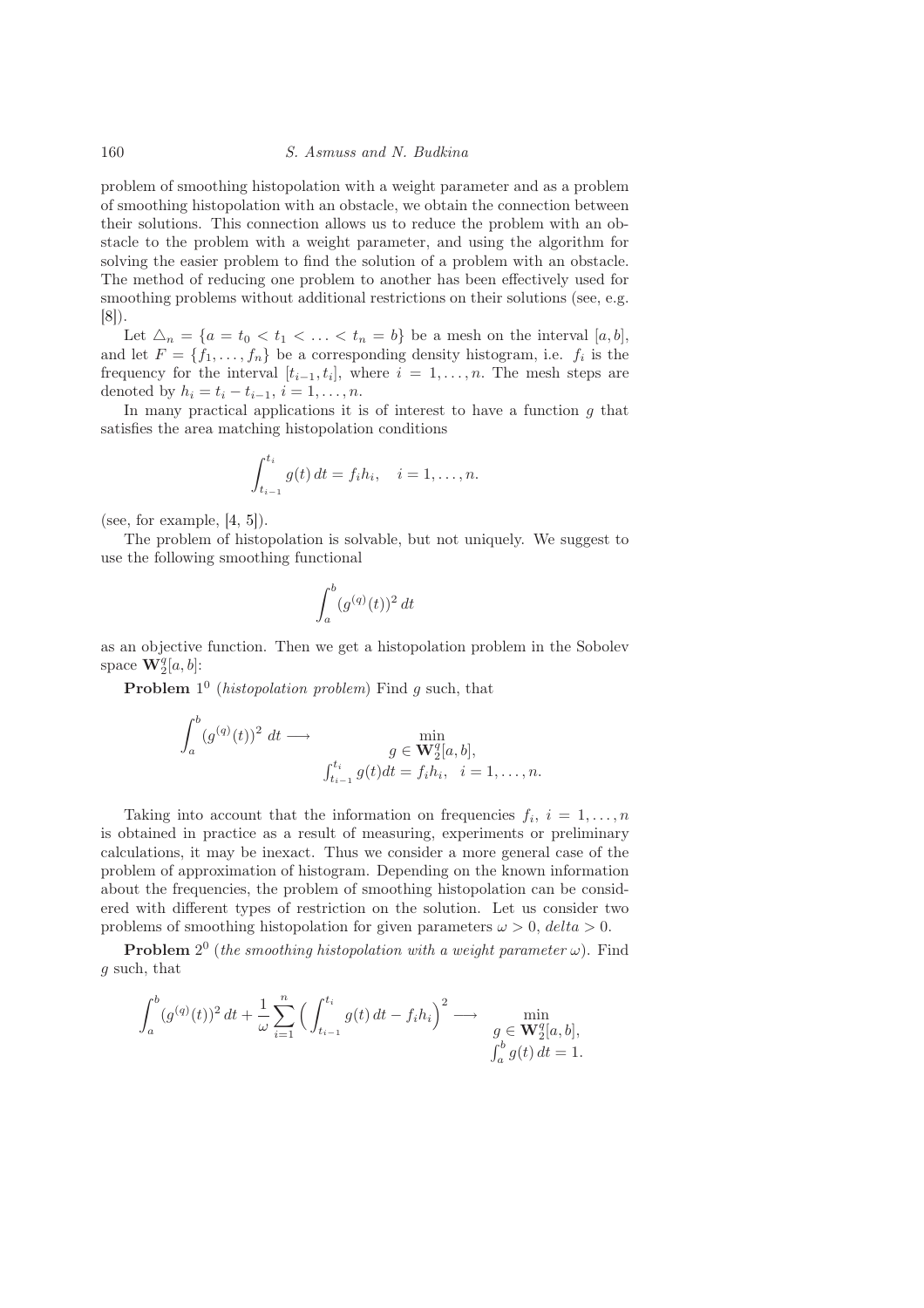problem of smoothing histopolation with a weight parameter and as a problem of smoothing histopolation with an obstacle, we obtain the connection between their solutions. This connection allows us to reduce the problem with an obstacle to the problem with a weight parameter, and using the algorithm for solving the easier problem to find the solution of a problem with an obstacle. The method of reducing one problem to another has been effectively used for smoothing problems without additional restrictions on their solutions (see, e.g. [\[8\]](#page-9-8)).

Let  $\Delta_n = \{a = t_0 < t_1 < \ldots < t_n = b\}$  be a mesh on the interval  $[a, b],$ and let  $F = \{f_1, \ldots, f_n\}$  be a corresponding density histogram, i.e.  $f_i$  is the frequency for the interval  $[t_{i-1}, t_i]$ , where  $i = 1, \ldots, n$ . The mesh steps are denoted by  $h_i = t_i - t_{i-1}, i = 1, ..., n$ .

In many practical applications it is of interest to have a function  $g$  that satisfies the area matching histopolation conditions

$$
\int_{t_{i-1}}^{t_i} g(t) dt = f_i h_i, \quad i = 1, \dots, n.
$$

(see, for example,  $[4, 5]$  $[4, 5]$ ).

The problem of histopolation is solvable, but not uniquely. We suggest to use the following smoothing functional

$$
\int_a^b (g^{(q)}(t))^2 dt
$$

as an objective function. Then we get a histopolation problem in the Sobolev space  $\mathbf{W}_2^q[a,b]$ :

**Problem**  $1^0$  (*histopolation problem*) Find g such, that

$$
\int_a^b (g^{(q)}(t))^2 dt \longrightarrow \min_{\substack{g \in \mathbf{W}_2^q[a,b],\\ \int_{t_{i-1}}^t g(t)dt = f_i h_i, \quad i = 1, \dots, n.}}
$$

Taking into account that the information on frequencies  $f_i, i = 1, \ldots, n$ is obtained in practice as a result of measuring, experiments or preliminary calculations, it may be inexact. Thus we consider a more general case of the problem of approximation of histogram. Depending on the known information about the frequencies, the problem of smoothing histopolation can be considered with different types of restriction on the solution. Let us consider two problems of smoothing histopolation for given parameters  $\omega > 0$ ,  $delta > 0$ .

**Problem**  $2^0$  (the smoothing histopolation with a weight parameter  $\omega$ ). Find g such, that

$$
\int_{a}^{b} (g^{(q)}(t))^{2} dt + \frac{1}{\omega} \sum_{i=1}^{n} \left( \int_{t_{i-1}}^{t_{i}} g(t) dt - f_{i} h_{i} \right)^{2} \longrightarrow \min_{\substack{g \in \mathbf{W}_{2}^{q}[a, b], \\ \int_{a}^{b} g(t) dt = 1.}
$$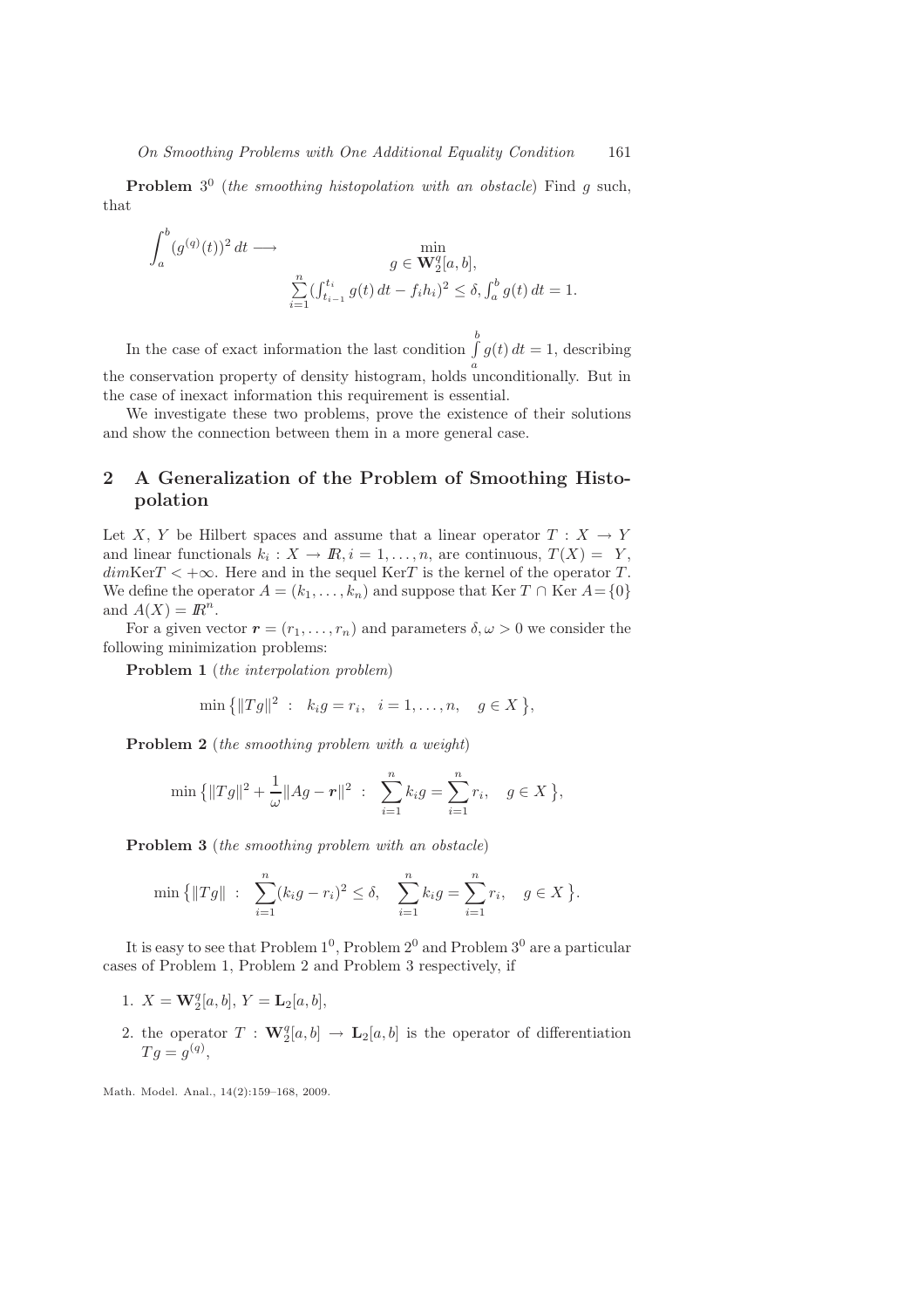**Problem**  $3^0$  (the smoothing histopolation with an obstacle) Find  $g$  such, that

$$
\int_{a}^{b} (g^{(q)}(t))^{2} dt \longrightarrow \min_{\substack{g \in \mathbf{W}_{2}^{q}[a,b], \\ \sum_{i=1}^{n} (\int_{t_{i-1}}^{t_{i}} g(t) dt - f_{i} h_{i})^{2} \leq \delta, \int_{a}^{b} g(t) dt = 1.}
$$

In the case of exact information the last condition  $\int_a^b$ a  $g(t) dt = 1$ , describing the conservation property of density histogram, holds unconditionally. But in the case of inexact information this requirement is essential.

We investigate these two problems, prove the existence of their solutions and show the connection between them in a more general case.

# 2 A Generalization of the Problem of Smoothing Histopolation

Let X, Y be Hilbert spaces and assume that a linear operator  $T : X \to Y$ and linear functionals  $k_i: X \to \mathbb{R}, i = 1, \ldots, n$ , are continuous,  $T(X) = Y$ ,  $dim \text{Ker } T < +\infty$ . Here and in the sequel  $\text{Ker } T$  is the kernel of the operator T. We define the operator  $A = (k_1, \ldots, k_n)$  and suppose that Ker  $T \cap \text{Ker } A = \{0\}$ and  $A(X) = \mathbb{R}^n$ .

For a given vector  $\mathbf{r} = (r_1, \ldots, r_n)$  and parameters  $\delta, \omega > 0$  we consider the following minimization problems:

Problem 1 (the interpolation problem)

$$
\min\{|Tg\|^2 : k_ig = r_i, i = 1,\ldots,n, g \in X\},\
$$

Problem 2 (the smoothing problem with a weight)

$$
\min\left\{\|Tg\|^2 + \frac{1}{\omega}\|Ag - r\|^2\;:\;\;\sum_{i=1}^n k_i g = \sum_{i=1}^n r_i,\quad g \in X\right\},\
$$

Problem 3 (the smoothing problem with an obstacle)

$$
\min \{ ||Tg|| : \sum_{i=1}^{n} (k_i g - r_i)^2 \le \delta, \sum_{i=1}^{n} k_i g = \sum_{i=1}^{n} r_i, \quad g \in X \}.
$$

It is easy to see that Problem  $1^0$ , Problem  $2^0$  and Problem  $3^0$  are a particular cases of Problem 1, Problem 2 and Problem 3 respectively, if

- 1.  $X = \mathbf{W}_2^q[a, b], Y = \mathbf{L}_2[a, b],$
- 2. the operator  $T : \mathbf{W}_2^q[a, b] \to \mathbf{L}_2[a, b]$  is the operator of differentiation  $Tg = g^{(q)}$ ,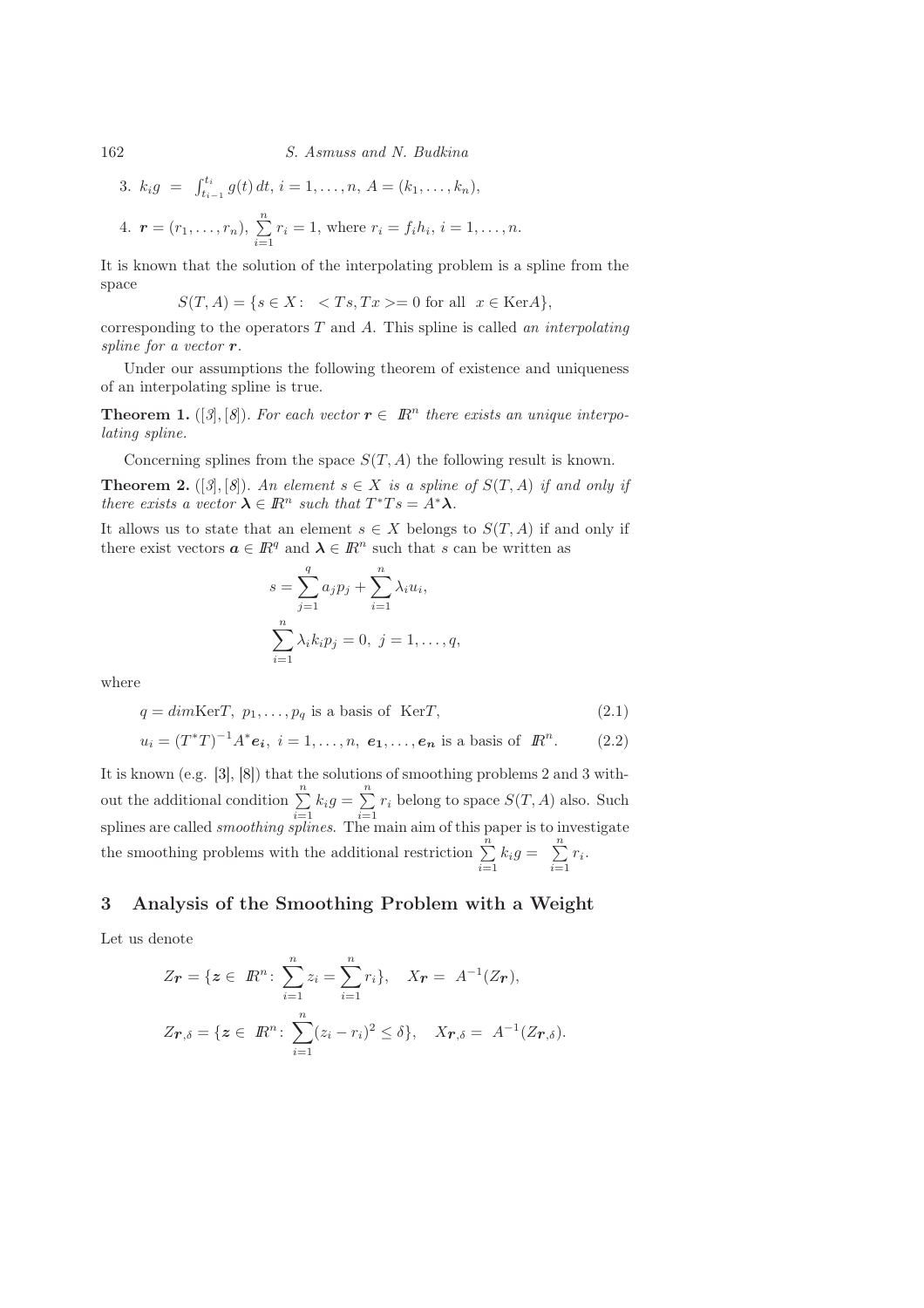<span id="page-3-1"></span> $, n.$ 

3. 
$$
k_i g = \int_{t_{i-1}}^{t_i} g(t) dt, i = 1, ..., n, A = (k_1, ..., k_n),
$$
  
4.  $\mathbf{r} = (r_1, ..., r_n), \sum_{i=1}^{n} r_i = 1$ , where  $r_i = f_i h_i, i = 1, ...$ 

It is known that the solution of the interpolating problem is a spline from the space

 $S(T, A) = \{s \in X: \langle Ts, Tx \rangle = 0 \text{ for all } x \in \text{Ker}A\},\$ 

corresponding to the operators  $T$  and  $A$ . This spline is called an interpolating spline for a vector  $r$ .

Under our assumptions the following theorem of existence and uniqueness of an interpolating spline is true.

**Theorem 1.** ([[3](#page-9-3)], [[8](#page-9-8)]). For each vector  $r \in \mathbb{R}^n$  there exists an unique interpolating spline.

Concerning splines from the space  $S(T, A)$  the following result is known. **Theorem 2.** ([[3](#page-9-3)], [[8](#page-9-8)]). An element  $s \in X$  is a spline of  $S(T, A)$  if and only if there exists a vector  $\lambda \in \mathbb{R}^n$  such that  $T^*Ts = A^*\lambda$ .

It allows us to state that an element  $s \in X$  belongs to  $S(T, A)$  if and only if there exist vectors  $a \in \mathbb{R}^q$  and  $\lambda \in \mathbb{R}^n$  such that s can be written as

<span id="page-3-3"></span><span id="page-3-2"></span>
$$
s = \sum_{j=1}^{q} a_j p_j + \sum_{i=1}^{n} \lambda_i u_i,
$$
  

$$
\sum_{i=1}^{n} \lambda_i k_i p_j = 0, \ j = 1, ..., q,
$$

where

$$
q = dim \text{Ker} T, \ p_1, \dots, p_q \text{ is a basis of } \text{Ker} T,
$$
\n
$$
(2.1)
$$

$$
u_i = (T^*T)^{-1}A^*e_i
$$
,  $i = 1,...,n, e_1,...,e_n$  is a basis of  $\mathbb{R}^n$ . (2.2)

It is known (e.g. [\[3\]](#page-9-3), [\[8\]](#page-9-8)) that the solutions of smoothing problems 2 and 3 without the additional condition  $\sum_{n=1}^{\infty}$  $\sum_{i=1}^{n} k_i g = \sum_{i=1}^{n}$  $\sum_{i=1} r_i$  belong to space  $S(T, A)$  also. Such splines are called *smoothing splines*. The main aim of this paper is to investigate the smoothing problems with the additional restriction  $\sum_{n=1}^{\infty}$  $\sum_{i=1}^n k_i g = \sum_{i=1}^n$  $\sum_{i=1}^{\infty} r_i$ .

#### 3 Analysis of the Smoothing Problem with a Weight

Let us denote

<span id="page-3-0"></span>
$$
Z_{\mathbf{r}} = \{ \mathbf{z} \in \mathbb{R}^n : \sum_{i=1}^n z_i = \sum_{i=1}^n r_i \}, \quad X_{\mathbf{r}} = A^{-1}(Z_{\mathbf{r}}),
$$
  

$$
Z_{\mathbf{r}, \delta} = \{ \mathbf{z} \in \mathbb{R}^n : \sum_{i=1}^n (z_i - r_i)^2 \le \delta \}, \quad X_{\mathbf{r}, \delta} = A^{-1}(Z_{\mathbf{r}, \delta}).
$$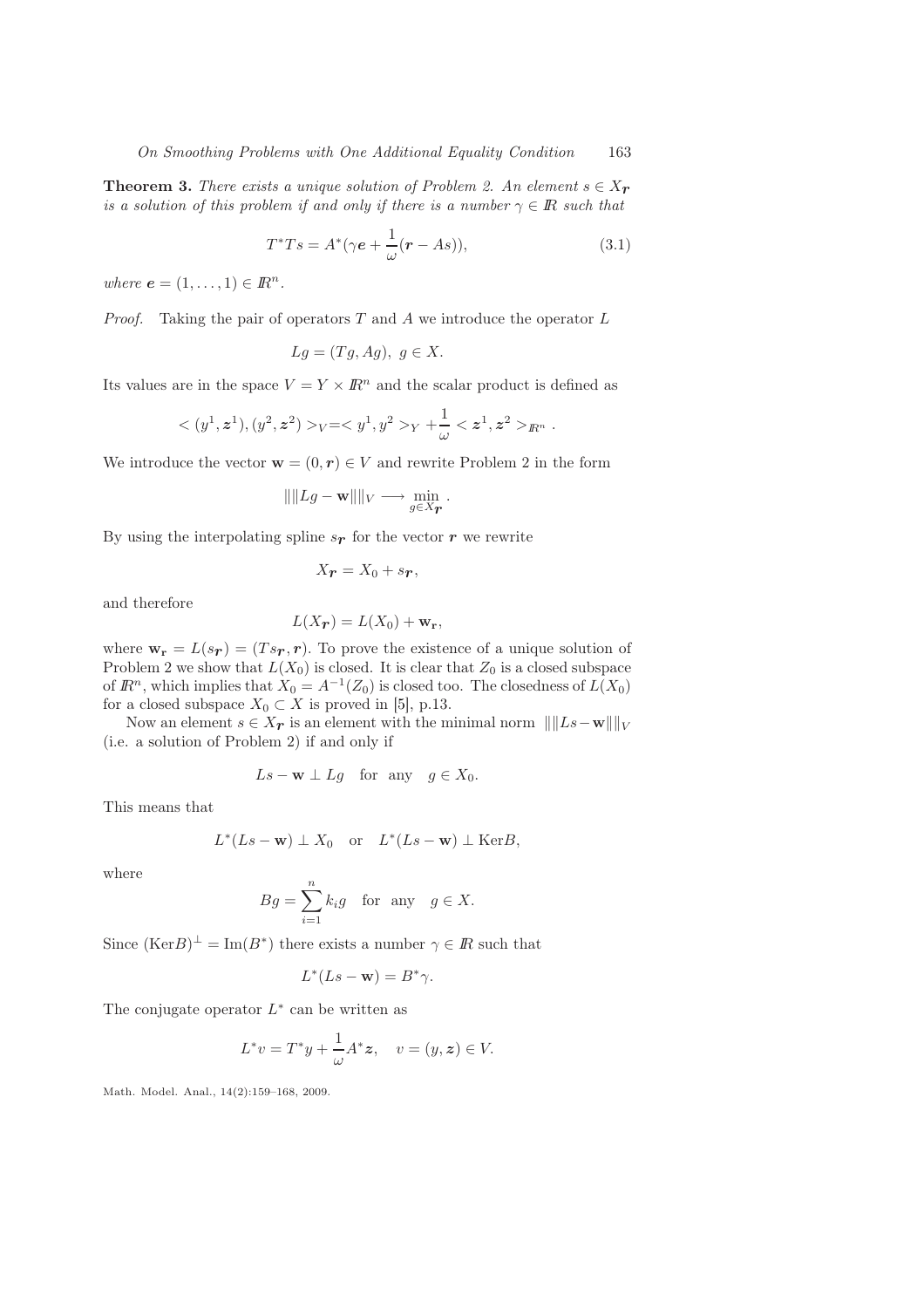**Theorem 3.** There exists a unique solution of Problem 2. An element  $s \in X_r$ is a solution of this problem if and only if there is a number  $\gamma \in \mathbb{R}$  such that

<span id="page-4-0"></span>
$$
T^*Ts = A^*(\gamma e + \frac{1}{\omega}(r - As)),\tag{3.1}
$$

where  $\mathbf{e} = (1, \ldots, 1) \in \mathbb{R}^n$ .

*Proof.* Taking the pair of operators  $T$  and  $\tilde{A}$  we introduce the operator  $\tilde{L}$ 

$$
Lg = (Tg, Ag), \ g \in X.
$$

Its values are in the space  $V = Y \times \mathbb{R}^n$  and the scalar product is defined as

$$
<(y^1, z^1), (y^2, z^2) >_V = _{Y} + \frac{1}{\omega} _{R^n}.
$$

We introduce the vector  $\mathbf{w} = (0, r) \in V$  and rewrite Problem 2 in the form

$$
\|\|Lg - \mathbf{w}\|\|_V \longrightarrow \min_{g \in X_{\mathbf{F}}}.
$$

By using the interpolating spline  $s_r$  for the vector r we rewrite

$$
X_{\boldsymbol{r}}=X_0+s_{\boldsymbol{r}},
$$

and therefore

$$
L(X_{\mathbf{r}}) = L(X_0) + \mathbf{w}_{\mathbf{r}},
$$

where  $\mathbf{w_r} = L(s_r) = (Ts_r, r)$ . To prove the existence of a unique solution of Problem 2 we show that  $L(X_0)$  is closed. It is clear that  $Z_0$  is a closed subspace of  $\mathbb{R}^n$ , which implies that  $X_0 = A^{-1}(Z_0)$  is closed too. The closedness of  $L(X_0)$ for a closed subspace  $X_0 \subset X$  is proved in [\[5\]](#page-9-10), p.13.

Now an element  $s \in X_{\mathcal{F}}$  is an element with the minimal norm  $\| \|Ls-w\| \|_{V}$ (i.e. a solution of Problem 2) if and only if

$$
Ls - \mathbf{w} \perp Lg
$$
 for any  $g \in X_0$ .

This means that

$$
L^*(Ls - \mathbf{w}) \perp X_0
$$
 or  $L^*(Ls - \mathbf{w}) \perp \text{Ker}B$ ,

where

$$
Bg = \sum_{i=1}^{n} k_i g \quad \text{for any} \quad g \in X.
$$

Since  $(\text{Ker}B)^{\perp} = \text{Im}(B^*)$  there exists a number  $\gamma \in \mathbb{R}$  such that

$$
L^*(Ls - \mathbf{w}) = B^*\gamma.
$$

The conjugate operator  $L^*$  can be written as

$$
L^*v = T^*y + \frac{1}{\omega}A^*z, \quad v = (y, z) \in V.
$$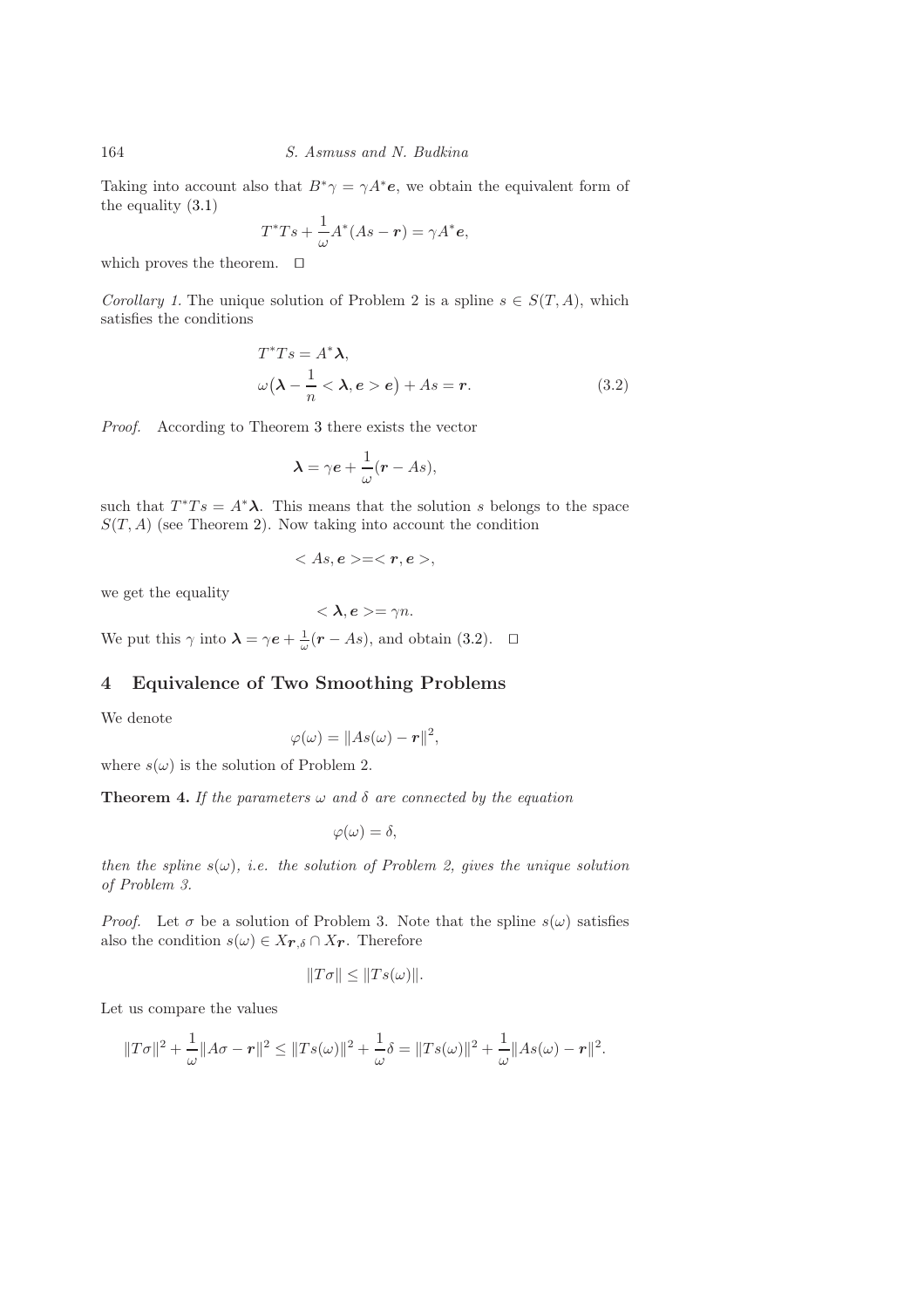Taking into account also that  $B^*\gamma = \gamma A^*e$ , we obtain the equivalent form of the equality [\(3.1\)](#page-4-0)

$$
T^*Ts + \frac{1}{\omega}A^*(As - r) = \gamma A^*e,
$$

which proves the theorem. ⊓⊔

Corollary 1. The unique solution of Problem 2 is a spline  $s \in S(T, A)$ , which satisfies the conditions

$$
T^*Ts = A^*\lambda,
$$
  
\n
$$
\omega(\lambda - \frac{1}{n} < \lambda, e > e) + As = r.
$$
 (3.2)

Proof. According to Theorem [3](#page-3-0) there exists the vector

<span id="page-5-0"></span>
$$
\lambda = \gamma e + \frac{1}{\omega}(r - As),
$$

such that  $T^*Ts = A^*\lambda$ . This means that the solution s belongs to the space  $S(T, A)$  (see Theorem [2\)](#page-3-1). Now taking into account the condition

$$
\langle As,e>=,
$$

we get the equality

$$
<\lambda, e>=\gamma n.
$$

We put this  $\gamma$  into  $\lambda = \gamma e + \frac{1}{\omega}(r - As)$ , and obtain [\(3.2\)](#page-5-0).  $\Box$ 

# 4 Equivalence of Two Smoothing Problems

We denote

$$
\varphi(\omega) = \|As(\omega) - \mathbf{r}\|^2,
$$

where  $s(\omega)$  is the solution of Problem 2.

**Theorem 4.** If the parameters  $\omega$  and  $\delta$  are connected by the equation

$$
\varphi(\omega)=\delta,
$$

then the spline  $s(\omega)$ , i.e. the solution of Problem 2, gives the unique solution of Problem 3.

*Proof.* Let  $\sigma$  be a solution of Problem 3. Note that the spline  $s(\omega)$  satisfies also the condition  $s(\omega) \in X_{\mathbf{r},\delta} \cap X_{\mathbf{r}}$ . Therefore

$$
||T\sigma|| \le ||Ts(\omega)||.
$$

Let us compare the values

$$
||T\sigma||^{2} + \frac{1}{\omega}||A\sigma - r||^{2} \leq ||Ts(\omega)||^{2} + \frac{1}{\omega}\delta = ||Ts(\omega)||^{2} + \frac{1}{\omega}||As(\omega) - r||^{2}.
$$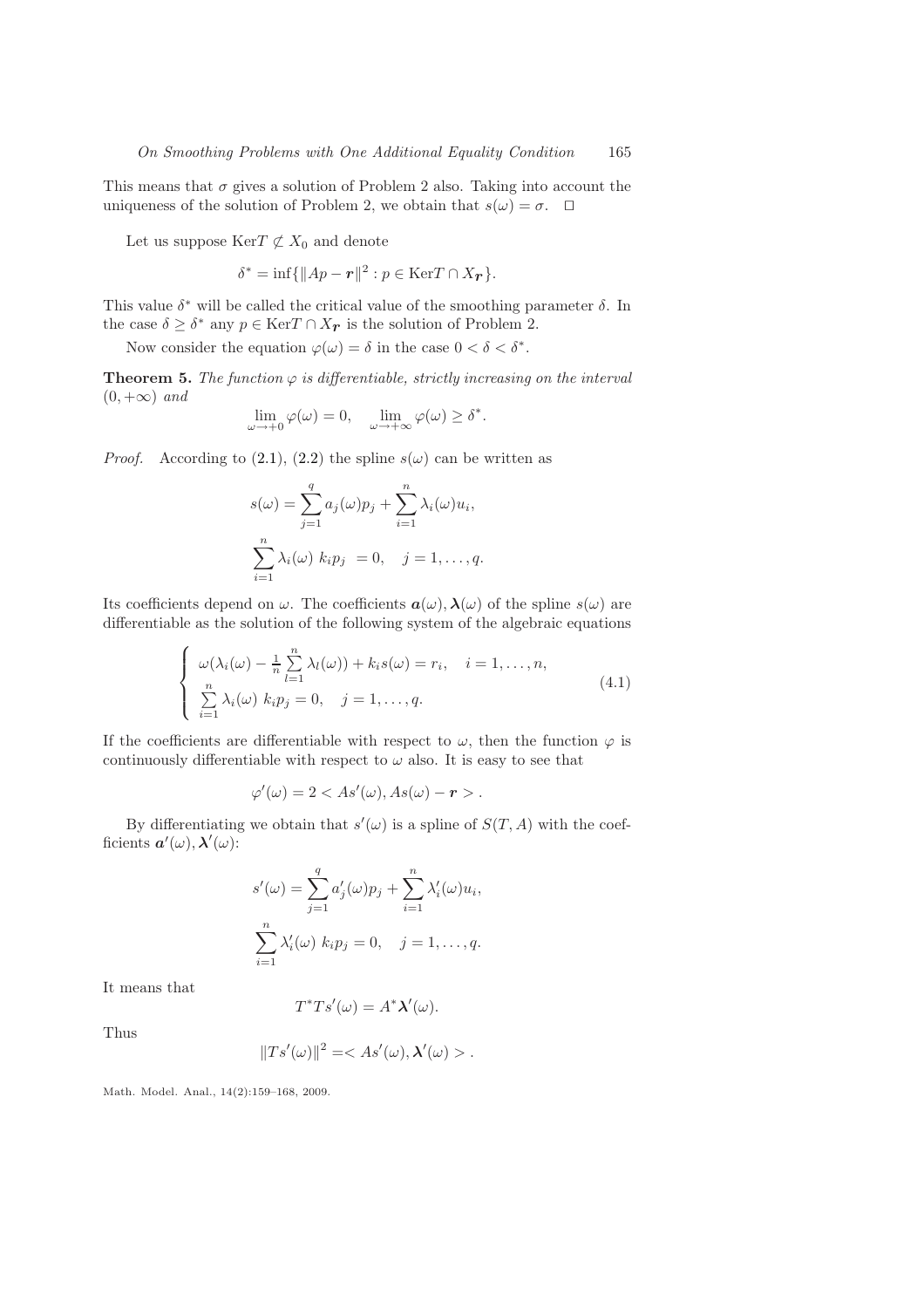This means that  $\sigma$  gives a solution of Problem 2 also. Taking into account the uniqueness of the solution of Problem 2, we obtain that  $s(\omega) = \sigma$ . □

Let us suppose  $\mathrm{Ker}T \not\subset X_0$  and denote

 $\delta^* = \inf \{ \|Ap - r\|^2 : p \in \text{Ker} T \cap X_{\mathbf{r}} \}.$ 

This value  $\delta^*$  will be called the critical value of the smoothing parameter  $\delta$ . In the case  $\delta \geq \delta^*$  any  $p \in \text{Ker } T \cap X_{\mathbf{r}}$  is the solution of Problem 2.

Now consider the equation  $\varphi(\omega) = \delta$  in the case  $0 < \delta < \delta^*$ .

**Theorem 5.** The function  $\varphi$  is differentiable, strictly increasing on the interval  $(0, +\infty)$  and

$$
\lim_{\omega \to +0} \varphi(\omega) = 0, \quad \lim_{\omega \to +\infty} \varphi(\omega) \ge \delta^*.
$$

*Proof.* According to [\(2.1\)](#page-3-2), [\(2.2\)](#page-3-3) the spline  $s(\omega)$  can be written as

<span id="page-6-0"></span>
$$
s(\omega) = \sum_{j=1}^{q} a_j(\omega) p_j + \sum_{i=1}^{n} \lambda_i(\omega) u_i,
$$
  

$$
\sum_{i=1}^{n} \lambda_i(\omega) k_i p_j = 0, \quad j = 1, \dots, q.
$$

Its coefficients depend on  $\omega$ . The coefficients  $a(\omega)$ ,  $\lambda(\omega)$  of the spline  $s(\omega)$  are differentiable as the solution of the following system of the algebraic equations

$$
\begin{cases}\n\omega(\lambda_i(\omega) - \frac{1}{n} \sum_{l=1}^n \lambda_l(\omega)) + k_i s(\omega) = r_i, \quad i = 1, \dots, n, \\
\sum_{i=1}^n \lambda_i(\omega) k_i p_j = 0, \quad j = 1, \dots, q.\n\end{cases}
$$
\n(4.1)

If the coefficients are differentiable with respect to  $\omega$ , then the function  $\varphi$  is continuously differentiable with respect to  $\omega$  also. It is easy to see that

$$
\varphi'(\omega) = 2 < \text{As}'(\omega), \text{As}(\omega) - r > \text{.}
$$

By differentiating we obtain that  $s'(\omega)$  is a spline of  $S(T, A)$  with the coefficients  $\boldsymbol{a}'(\omega), \boldsymbol{\lambda}'(\omega)$ :

$$
s'(\omega) = \sum_{j=1}^q a'_j(\omega)p_j + \sum_{i=1}^n \lambda'_i(\omega)u_i,
$$
  

$$
\sum_{i=1}^n \lambda'_i(\omega) k_i p_j = 0, \quad j = 1, \dots, q.
$$

It means that

$$
T^*Ts'(\omega) = A^*\lambda'(\omega).
$$

Thus

$$
||T s'(\omega)||^2 = .
$$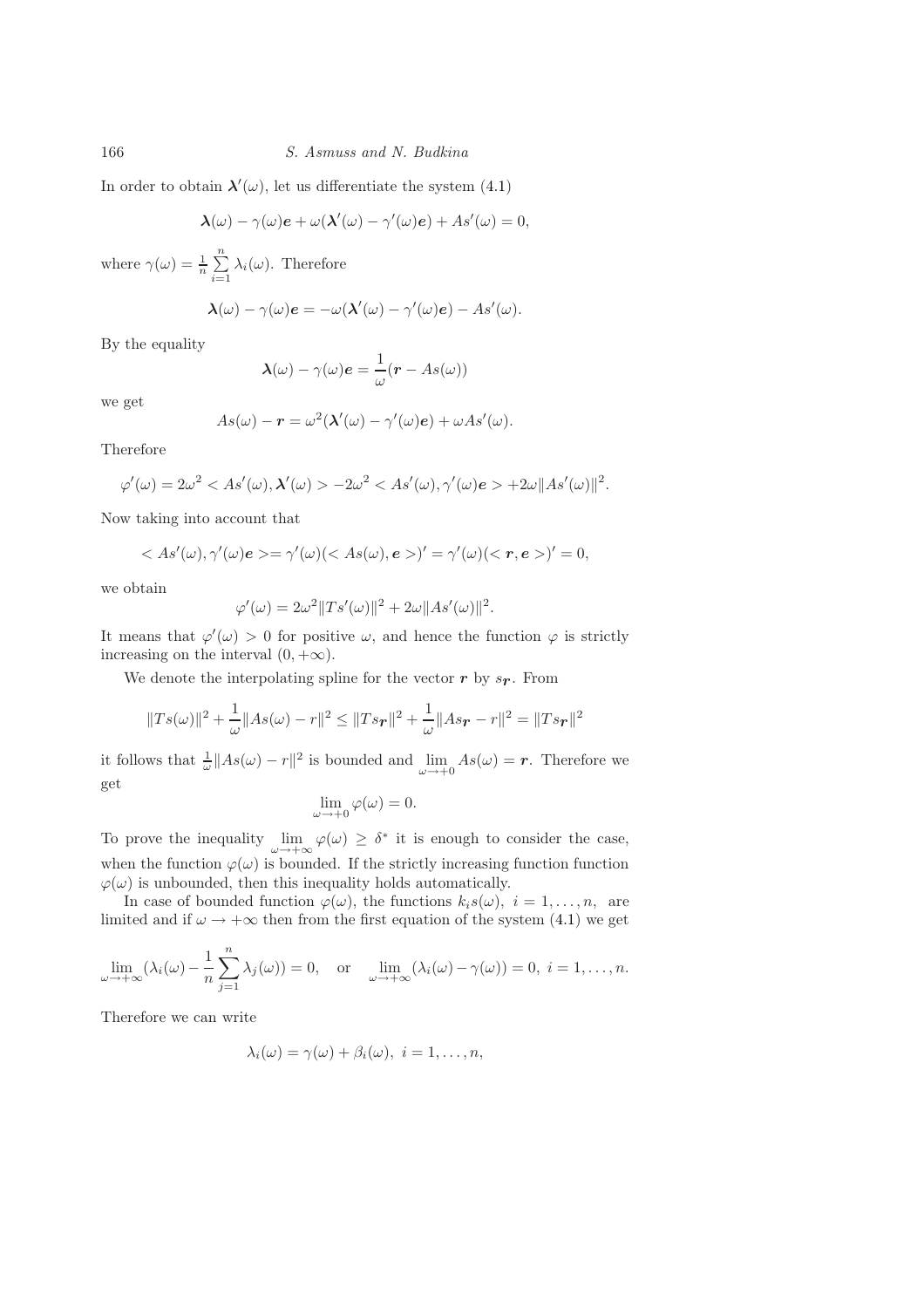In order to obtain  $\lambda'(\omega)$ , let us differentiate the system [\(4.1\)](#page-6-0)

$$
\boldsymbol{\lambda}(\omega) - \gamma(\omega)\boldsymbol{e} + \omega(\boldsymbol{\lambda}'(\omega) - \gamma'(\omega)\boldsymbol{e}) + \boldsymbol{A}\boldsymbol{s}'(\omega) = 0,
$$

where  $\gamma(\omega) = \frac{1}{n} \sum_{n=1}^{\infty}$  $\sum_{i=1} \lambda_i(\omega)$ . Therefore

$$
\lambda(\omega) - \gamma(\omega)e = -\omega(\lambda'(\omega) - \gamma'(\omega)e) - As'(\omega).
$$

By the equality

$$
\boldsymbol{\lambda}(\omega) - \gamma(\omega)\boldsymbol{e} = \frac{1}{\omega}(\boldsymbol{r} - As(\omega))
$$

we get

$$
As(\omega) - r = \omega^{2}(\lambda'(\omega) - \gamma'(\omega)e) + \omega As'(\omega).
$$

Therefore

$$
\varphi'(\omega) = 2\omega^2 < \text{As}'(\omega), \lambda'(\omega) > -2\omega^2 < \text{As}'(\omega), \gamma'(\omega)e > +2\omega \| \text{As}'(\omega) \|^2.
$$

Now taking into account that

$$
\langle As'(\omega),\gamma'(\omega)e>=\gamma'(\omega)(\langle As(\omega),e\rangle)'=\gamma'(\omega)(\langle r,e\rangle)'=0,
$$

we obtain

$$
\varphi'(\omega) = 2\omega^2 \|Ts'(\omega)\|^2 + 2\omega \|As'(\omega)\|^2.
$$

It means that  $\varphi'(\omega) > 0$  for positive  $\omega$ , and hence the function  $\varphi$  is strictly increasing on the interval  $(0, +\infty)$ .

We denote the interpolating spline for the vector  $r$  by  $s_r$ . From

$$
||Ts(\omega)||^2 + \frac{1}{\omega}||As(\omega) - r||^2 \le ||Ts\mathbf{r}||^2 + \frac{1}{\omega}||As\mathbf{r} - r||^2 = ||Ts\mathbf{r}||^2
$$

it follows that  $\frac{1}{\omega} ||As(\omega) - r||^2$  is bounded and  $\lim_{\omega \to +0} As(\omega) = r$ . Therefore we get

$$
\lim_{\omega \to +0} \varphi(\omega) = 0.
$$

To prove the inequality  $\lim_{\omega \to +\infty} \varphi(\omega) \geq \delta^*$  it is enough to consider the case, when the function  $\varphi(\omega)$  is bounded. If the strictly increasing function function  $\varphi(\omega)$  is unbounded, then this inequality holds automatically.

In case of bounded function  $\varphi(\omega)$ , the functions  $k_i s(\omega)$ ,  $i = 1, \ldots, n$ , are limited and if  $\omega \to +\infty$  then from the first equation of the system [\(4.1\)](#page-6-0) we get

$$
\lim_{\omega \to +\infty} (\lambda_i(\omega) - \frac{1}{n} \sum_{j=1}^n \lambda_j(\omega)) = 0, \text{ or } \lim_{\omega \to +\infty} (\lambda_i(\omega) - \gamma(\omega)) = 0, i = 1, \dots, n.
$$

Therefore we can write

$$
\lambda_i(\omega) = \gamma(\omega) + \beta_i(\omega), \ i = 1, \dots, n,
$$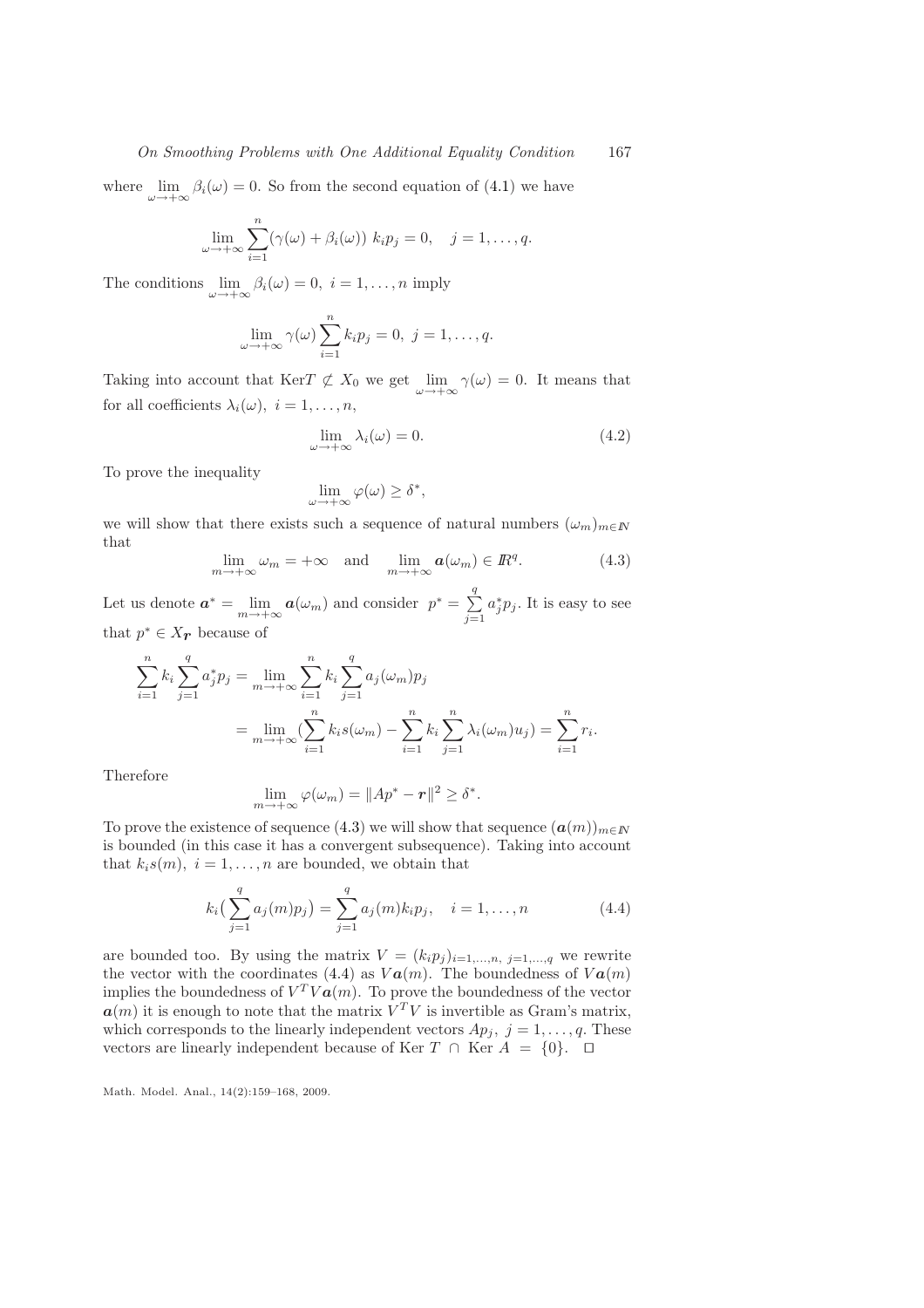#### On Smoothing Problems with One Additional Equality Condition 167

where  $\lim_{\omega \to +\infty} \beta_i(\omega) = 0$ . So from the second equation of [\(4.1\)](#page-6-0) we have

$$
\lim_{\omega \to +\infty} \sum_{i=1}^n (\gamma(\omega) + \beta_i(\omega)) k_i p_j = 0, \quad j = 1, \dots, q.
$$

The conditions  $\lim_{\omega \to +\infty} \beta_i(\omega) = 0, i = 1, \dots, n$  imply

$$
\lim_{\omega \to +\infty} \gamma(\omega) \sum_{i=1}^{n} k_i p_j = 0, \ j = 1, \dots, q.
$$

Taking into account that KerT  $\not\subset X_0$  we get  $\lim_{\omega \to +\infty} \gamma(\omega) = 0$ . It means that for all coefficients  $\lambda_i(\omega)$ ,  $i = 1, \ldots, n$ ,

$$
\lim_{\omega \to +\infty} \lambda_i(\omega) = 0. \tag{4.2}
$$

To prove the inequality

$$
\lim_{\omega \to +\infty} \varphi(\omega) \ge \delta^*,
$$

<span id="page-8-0"></span>we will show that there exists such a sequence of natural numbers  $(\omega_m)_{m \in \mathbb{N}}$ that

$$
\lim_{m \to +\infty} \omega_m = +\infty \quad \text{and} \quad \lim_{m \to +\infty} a(\omega_m) \in \mathbb{R}^q. \tag{4.3}
$$

Let us denote  $\boldsymbol{a}^* = \lim_{m \to +\infty} \boldsymbol{a}(\omega_m)$  and consider  $p^* = \sum_{i=1}^q$  $j=1$  $a_j^* p_j$ . It is easy to see that  $p^* \in X_{\mathcal{F}}$  because of

$$
\sum_{i=1}^{n} k_i \sum_{j=1}^{q} a_j^* p_j = \lim_{m \to +\infty} \sum_{i=1}^{n} k_i \sum_{j=1}^{q} a_j (\omega_m) p_j
$$
  
= 
$$
\lim_{m \to +\infty} (\sum_{i=1}^{n} k_i s(\omega_m) - \sum_{i=1}^{n} k_i \sum_{j=1}^{n} \lambda_i (\omega_m) u_j) = \sum_{i=1}^{n} r_i.
$$

Therefore

<span id="page-8-1"></span>
$$
\lim_{m \to +\infty} \varphi(\omega_m) = \|Ap^* - \mathbf{r}\|^2 \ge \delta^*.
$$

To prove the existence of sequence [\(4.3\)](#page-8-0) we will show that sequence  $(a(m))_{m\in\mathbb{N}}$ is bounded (in this case it has a convergent subsequence). Taking into account that  $k_i s(m)$ ,  $i = 1, \ldots, n$  are bounded, we obtain that

$$
k_i\left(\sum_{j=1}^q a_j(m)p_j\right) = \sum_{j=1}^q a_j(m)k_i p_j, \quad i = 1, \dots, n \tag{4.4}
$$

are bounded too. By using the matrix  $V = (k_i p_j)_{i=1,\dots,n, j=1,\dots,q}$  we rewrite the vector with the coordinates [\(4.4\)](#page-8-1) as  $Va(m)$ . The boundedness of  $Va(m)$ implies the boundedness of  $V^T V a(m)$ . To prove the boundedness of the vector  $a(m)$  it is enough to note that the matrix  $V^T V$  is invertible as Gram's matrix, which corresponds to the linearly independent vectors  $Ap_j$ ,  $j = 1, \ldots, q$ . These vectors are linearly independent because of Ker  $T \cap$  Ker  $A = \{0\}$ . □